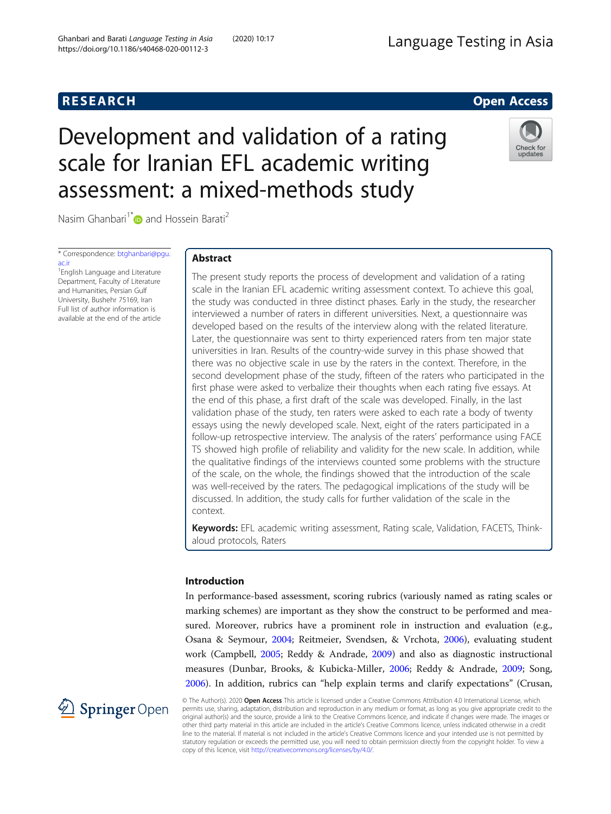# **RESEARCH RESEARCH CONSUMING ACCESS**

# Development and validation of a rating scale for Iranian EFL academic writing assessment: a mixed-methods study



Nasim Ghanbari<sup>1[\\*](http://orcid.org/0000-0002-1652-8438)</sup> and Hossein Barati<sup>2</sup>

\* Correspondence: [btghanbari@pgu.](mailto:btghanbari@pgu.ac.ir) [ac.ir](mailto:btghanbari@pgu.ac.ir)

1 English Language and Literature Department, Faculty of Literature and Humanities, Persian Gulf University, Bushehr 75169, Iran Full list of author information is available at the end of the article

# Abstract

The present study reports the process of development and validation of a rating scale in the Iranian EFL academic writing assessment context. To achieve this goal, the study was conducted in three distinct phases. Early in the study, the researcher interviewed a number of raters in different universities. Next, a questionnaire was developed based on the results of the interview along with the related literature. Later, the questionnaire was sent to thirty experienced raters from ten major state universities in Iran. Results of the country-wide survey in this phase showed that there was no objective scale in use by the raters in the context. Therefore, in the second development phase of the study, fifteen of the raters who participated in the first phase were asked to verbalize their thoughts when each rating five essays. At the end of this phase, a first draft of the scale was developed. Finally, in the last validation phase of the study, ten raters were asked to each rate a body of twenty essays using the newly developed scale. Next, eight of the raters participated in a follow-up retrospective interview. The analysis of the raters' performance using FACE TS showed high profile of reliability and validity for the new scale. In addition, while the qualitative findings of the interviews counted some problems with the structure of the scale, on the whole, the findings showed that the introduction of the scale was well-received by the raters. The pedagogical implications of the study will be discussed. In addition, the study calls for further validation of the scale in the context.

Keywords: EFL academic writing assessment, Rating scale, Validation, FACETS, Thinkaloud protocols, Raters

# Introduction

In performance-based assessment, scoring rubrics (variously named as rating scales or marking schemes) are important as they show the construct to be performed and measured. Moreover, rubrics have a prominent role in instruction and evaluation (e.g., Osana & Seymour, [2004;](#page-19-0) Reitmeier, Svendsen, & Vrchota, [2006\)](#page-20-0), evaluating student work (Campbell, [2005;](#page-19-0) Reddy & Andrade, [2009](#page-20-0)) and also as diagnostic instructional measures (Dunbar, Brooks, & Kubicka-Miller, [2006](#page-19-0); Reddy & Andrade, [2009](#page-20-0); Song, [2006](#page-20-0)). In addition, rubrics can "help explain terms and clarify expectations" (Crusan,



© The Author(s). 2020 Open Access This article is licensed under a Creative Commons Attribution 4.0 International License, which permits use, sharing, adaptation, distribution and reproduction in any medium or format, as long as you give appropriate credit to the original author(s) and the source, provide a link to the Creative Commons licence, and indicate if changes were made. The images or other third party material in this article are included in the article's Creative Commons licence, unless indicated otherwise in a credit line to the material. If material is not included in the article's Creative Commons licence and your intended use is not permitted by statutory regulation or exceeds the permitted use, you will need to obtain permission directly from the copyright holder. To view a copy of this licence, visit <http://creativecommons.org/licenses/by/4.0/>.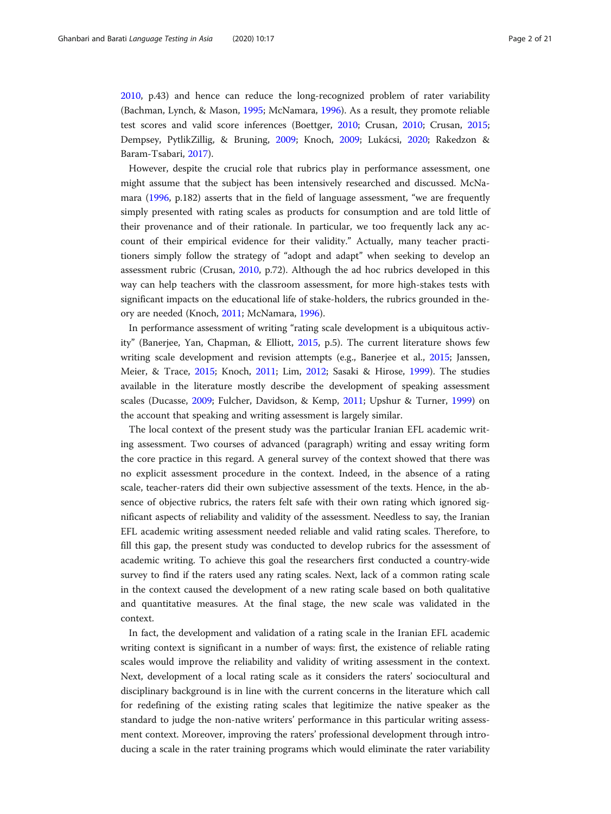[2010](#page-19-0), p.43) and hence can reduce the long-recognized problem of rater variability (Bachman, Lynch, & Mason, [1995;](#page-18-0) McNamara, [1996\)](#page-19-0). As a result, they promote reliable test scores and valid score inferences (Boettger, [2010;](#page-19-0) Crusan, [2010](#page-19-0); Crusan, [2015](#page-19-0); Dempsey, PytlikZillig, & Bruning, [2009;](#page-19-0) Knoch, [2009;](#page-19-0) Lukácsi, [2020](#page-19-0); Rakedzon & Baram-Tsabari, [2017\)](#page-20-0).

However, despite the crucial role that rubrics play in performance assessment, one might assume that the subject has been intensively researched and discussed. McNamara [\(1996,](#page-19-0) p.182) asserts that in the field of language assessment, "we are frequently simply presented with rating scales as products for consumption and are told little of their provenance and of their rationale. In particular, we too frequently lack any account of their empirical evidence for their validity." Actually, many teacher practitioners simply follow the strategy of "adopt and adapt" when seeking to develop an assessment rubric (Crusan, [2010](#page-19-0), p.72). Although the ad hoc rubrics developed in this way can help teachers with the classroom assessment, for more high-stakes tests with significant impacts on the educational life of stake-holders, the rubrics grounded in theory are needed (Knoch, [2011;](#page-19-0) McNamara, [1996\)](#page-19-0).

In performance assessment of writing "rating scale development is a ubiquitous activity" (Banerjee, Yan, Chapman, & Elliott, [2015](#page-18-0), p.5). The current literature shows few writing scale development and revision attempts (e.g., Banerjee et al., [2015;](#page-18-0) Janssen, Meier, & Trace, [2015;](#page-19-0) Knoch, [2011](#page-19-0); Lim, [2012](#page-19-0); Sasaki & Hirose, [1999](#page-20-0)). The studies available in the literature mostly describe the development of speaking assessment scales (Ducasse, [2009;](#page-19-0) Fulcher, Davidson, & Kemp, [2011](#page-19-0); Upshur & Turner, [1999](#page-20-0)) on the account that speaking and writing assessment is largely similar.

The local context of the present study was the particular Iranian EFL academic writing assessment. Two courses of advanced (paragraph) writing and essay writing form the core practice in this regard. A general survey of the context showed that there was no explicit assessment procedure in the context. Indeed, in the absence of a rating scale, teacher-raters did their own subjective assessment of the texts. Hence, in the absence of objective rubrics, the raters felt safe with their own rating which ignored significant aspects of reliability and validity of the assessment. Needless to say, the Iranian EFL academic writing assessment needed reliable and valid rating scales. Therefore, to fill this gap, the present study was conducted to develop rubrics for the assessment of academic writing. To achieve this goal the researchers first conducted a country-wide survey to find if the raters used any rating scales. Next, lack of a common rating scale in the context caused the development of a new rating scale based on both qualitative and quantitative measures. At the final stage, the new scale was validated in the context.

In fact, the development and validation of a rating scale in the Iranian EFL academic writing context is significant in a number of ways: first, the existence of reliable rating scales would improve the reliability and validity of writing assessment in the context. Next, development of a local rating scale as it considers the raters' sociocultural and disciplinary background is in line with the current concerns in the literature which call for redefining of the existing rating scales that legitimize the native speaker as the standard to judge the non-native writers' performance in this particular writing assessment context. Moreover, improving the raters' professional development through introducing a scale in the rater training programs which would eliminate the rater variability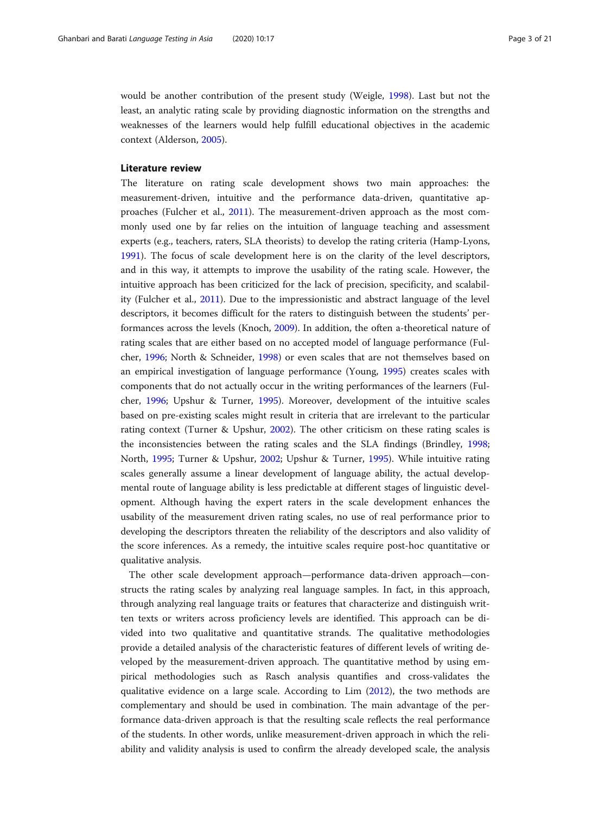would be another contribution of the present study (Weigle, [1998\)](#page-20-0). Last but not the least, an analytic rating scale by providing diagnostic information on the strengths and weaknesses of the learners would help fulfill educational objectives in the academic context (Alderson, [2005](#page-18-0)).

#### Literature review

The literature on rating scale development shows two main approaches: the measurement-driven, intuitive and the performance data-driven, quantitative approaches (Fulcher et al., [2011\)](#page-19-0). The measurement-driven approach as the most commonly used one by far relies on the intuition of language teaching and assessment experts (e.g., teachers, raters, SLA theorists) to develop the rating criteria (Hamp-Lyons, [1991](#page-19-0)). The focus of scale development here is on the clarity of the level descriptors, and in this way, it attempts to improve the usability of the rating scale. However, the intuitive approach has been criticized for the lack of precision, specificity, and scalability (Fulcher et al., [2011\)](#page-19-0). Due to the impressionistic and abstract language of the level descriptors, it becomes difficult for the raters to distinguish between the students' performances across the levels (Knoch, [2009](#page-19-0)). In addition, the often a-theoretical nature of rating scales that are either based on no accepted model of language performance (Fulcher, [1996;](#page-19-0) North & Schneider, [1998](#page-19-0)) or even scales that are not themselves based on an empirical investigation of language performance (Young, [1995\)](#page-20-0) creates scales with components that do not actually occur in the writing performances of the learners (Fulcher, [1996;](#page-19-0) Upshur & Turner, [1995](#page-20-0)). Moreover, development of the intuitive scales based on pre-existing scales might result in criteria that are irrelevant to the particular rating context (Turner & Upshur, [2002](#page-20-0)). The other criticism on these rating scales is the inconsistencies between the rating scales and the SLA findings (Brindley, [1998](#page-19-0); North, [1995;](#page-19-0) Turner & Upshur, [2002](#page-20-0); Upshur & Turner, [1995\)](#page-20-0). While intuitive rating scales generally assume a linear development of language ability, the actual developmental route of language ability is less predictable at different stages of linguistic development. Although having the expert raters in the scale development enhances the usability of the measurement driven rating scales, no use of real performance prior to developing the descriptors threaten the reliability of the descriptors and also validity of the score inferences. As a remedy, the intuitive scales require post-hoc quantitative or qualitative analysis.

The other scale development approach—performance data-driven approach—constructs the rating scales by analyzing real language samples. In fact, in this approach, through analyzing real language traits or features that characterize and distinguish written texts or writers across proficiency levels are identified. This approach can be divided into two qualitative and quantitative strands. The qualitative methodologies provide a detailed analysis of the characteristic features of different levels of writing developed by the measurement-driven approach. The quantitative method by using empirical methodologies such as Rasch analysis quantifies and cross-validates the qualitative evidence on a large scale. According to Lim ([2012\)](#page-19-0), the two methods are complementary and should be used in combination. The main advantage of the performance data-driven approach is that the resulting scale reflects the real performance of the students. In other words, unlike measurement-driven approach in which the reliability and validity analysis is used to confirm the already developed scale, the analysis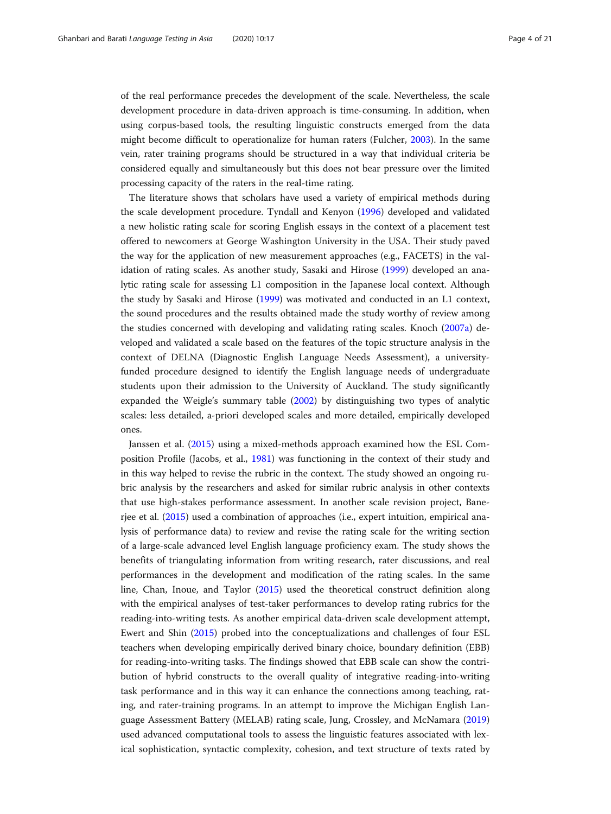of the real performance precedes the development of the scale. Nevertheless, the scale development procedure in data-driven approach is time-consuming. In addition, when using corpus-based tools, the resulting linguistic constructs emerged from the data might become difficult to operationalize for human raters (Fulcher, [2003\)](#page-19-0). In the same vein, rater training programs should be structured in a way that individual criteria be considered equally and simultaneously but this does not bear pressure over the limited processing capacity of the raters in the real-time rating.

The literature shows that scholars have used a variety of empirical methods during the scale development procedure. Tyndall and Kenyon ([1996](#page-20-0)) developed and validated a new holistic rating scale for scoring English essays in the context of a placement test offered to newcomers at George Washington University in the USA. Their study paved the way for the application of new measurement approaches (e.g., FACETS) in the validation of rating scales. As another study, Sasaki and Hirose ([1999](#page-20-0)) developed an analytic rating scale for assessing L1 composition in the Japanese local context. Although the study by Sasaki and Hirose ([1999\)](#page-20-0) was motivated and conducted in an L1 context, the sound procedures and the results obtained made the study worthy of review among the studies concerned with developing and validating rating scales. Knoch ([2007a\)](#page-19-0) developed and validated a scale based on the features of the topic structure analysis in the context of DELNA (Diagnostic English Language Needs Assessment), a universityfunded procedure designed to identify the English language needs of undergraduate students upon their admission to the University of Auckland. The study significantly expanded the Weigle's summary table ([2002](#page-20-0)) by distinguishing two types of analytic scales: less detailed, a-priori developed scales and more detailed, empirically developed ones.

Janssen et al. [\(2015\)](#page-19-0) using a mixed-methods approach examined how the ESL Composition Profile (Jacobs, et al., [1981\)](#page-19-0) was functioning in the context of their study and in this way helped to revise the rubric in the context. The study showed an ongoing rubric analysis by the researchers and asked for similar rubric analysis in other contexts that use high-stakes performance assessment. In another scale revision project, Banerjee et al. [\(2015\)](#page-18-0) used a combination of approaches (i.e., expert intuition, empirical analysis of performance data) to review and revise the rating scale for the writing section of a large-scale advanced level English language proficiency exam. The study shows the benefits of triangulating information from writing research, rater discussions, and real performances in the development and modification of the rating scales. In the same line, Chan, Inoue, and Taylor [\(2015](#page-19-0)) used the theoretical construct definition along with the empirical analyses of test-taker performances to develop rating rubrics for the reading-into-writing tests. As another empirical data-driven scale development attempt, Ewert and Shin [\(2015\)](#page-19-0) probed into the conceptualizations and challenges of four ESL teachers when developing empirically derived binary choice, boundary definition (EBB) for reading-into-writing tasks. The findings showed that EBB scale can show the contribution of hybrid constructs to the overall quality of integrative reading-into-writing task performance and in this way it can enhance the connections among teaching, rating, and rater-training programs. In an attempt to improve the Michigan English Language Assessment Battery (MELAB) rating scale, Jung, Crossley, and McNamara ([2019](#page-19-0)) used advanced computational tools to assess the linguistic features associated with lexical sophistication, syntactic complexity, cohesion, and text structure of texts rated by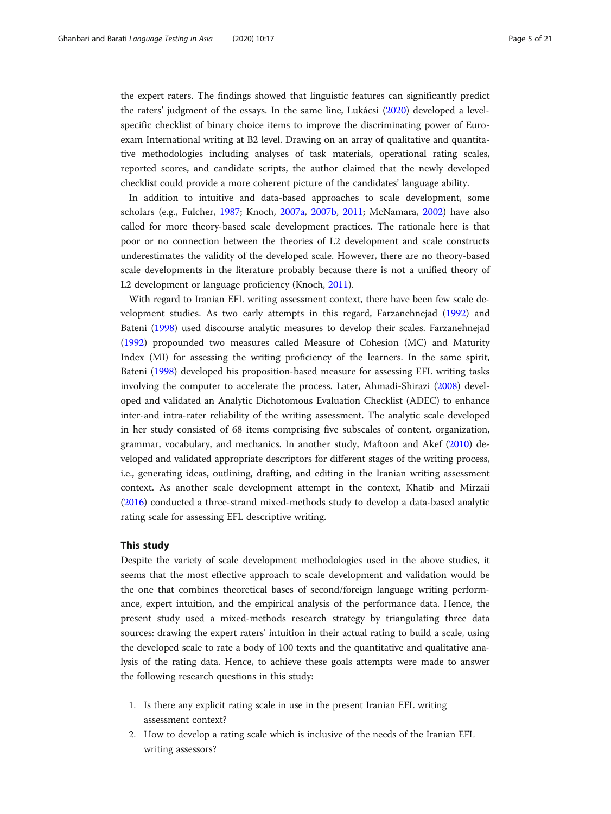the expert raters. The findings showed that linguistic features can significantly predict the raters' judgment of the essays. In the same line, Lukácsi [\(2020\)](#page-19-0) developed a levelspecific checklist of binary choice items to improve the discriminating power of Euroexam International writing at B2 level. Drawing on an array of qualitative and quantitative methodologies including analyses of task materials, operational rating scales, reported scores, and candidate scripts, the author claimed that the newly developed checklist could provide a more coherent picture of the candidates' language ability.

In addition to intuitive and data-based approaches to scale development, some scholars (e.g., Fulcher, [1987](#page-19-0); Knoch, [2007a](#page-19-0), [2007b](#page-19-0), [2011;](#page-19-0) McNamara, [2002\)](#page-19-0) have also called for more theory-based scale development practices. The rationale here is that poor or no connection between the theories of L2 development and scale constructs underestimates the validity of the developed scale. However, there are no theory-based scale developments in the literature probably because there is not a unified theory of L2 development or language proficiency (Knoch, [2011\)](#page-19-0).

With regard to Iranian EFL writing assessment context, there have been few scale development studies. As two early attempts in this regard, Farzanehnejad ([1992](#page-19-0)) and Bateni [\(1998](#page-19-0)) used discourse analytic measures to develop their scales. Farzanehnejad ([1992](#page-19-0)) propounded two measures called Measure of Cohesion (MC) and Maturity Index (MI) for assessing the writing proficiency of the learners. In the same spirit, Bateni [\(1998\)](#page-19-0) developed his proposition-based measure for assessing EFL writing tasks involving the computer to accelerate the process. Later, Ahmadi-Shirazi [\(2008\)](#page-18-0) developed and validated an Analytic Dichotomous Evaluation Checklist (ADEC) to enhance inter-and intra-rater reliability of the writing assessment. The analytic scale developed in her study consisted of 68 items comprising five subscales of content, organization, grammar, vocabulary, and mechanics. In another study, Maftoon and Akef ([2010](#page-19-0)) developed and validated appropriate descriptors for different stages of the writing process, i.e., generating ideas, outlining, drafting, and editing in the Iranian writing assessment context. As another scale development attempt in the context, Khatib and Mirzaii ([2016](#page-19-0)) conducted a three-strand mixed-methods study to develop a data-based analytic rating scale for assessing EFL descriptive writing.

#### This study

Despite the variety of scale development methodologies used in the above studies, it seems that the most effective approach to scale development and validation would be the one that combines theoretical bases of second/foreign language writing performance, expert intuition, and the empirical analysis of the performance data. Hence, the present study used a mixed-methods research strategy by triangulating three data sources: drawing the expert raters' intuition in their actual rating to build a scale, using the developed scale to rate a body of 100 texts and the quantitative and qualitative analysis of the rating data. Hence, to achieve these goals attempts were made to answer the following research questions in this study:

- 1. Is there any explicit rating scale in use in the present Iranian EFL writing assessment context?
- 2. How to develop a rating scale which is inclusive of the needs of the Iranian EFL writing assessors?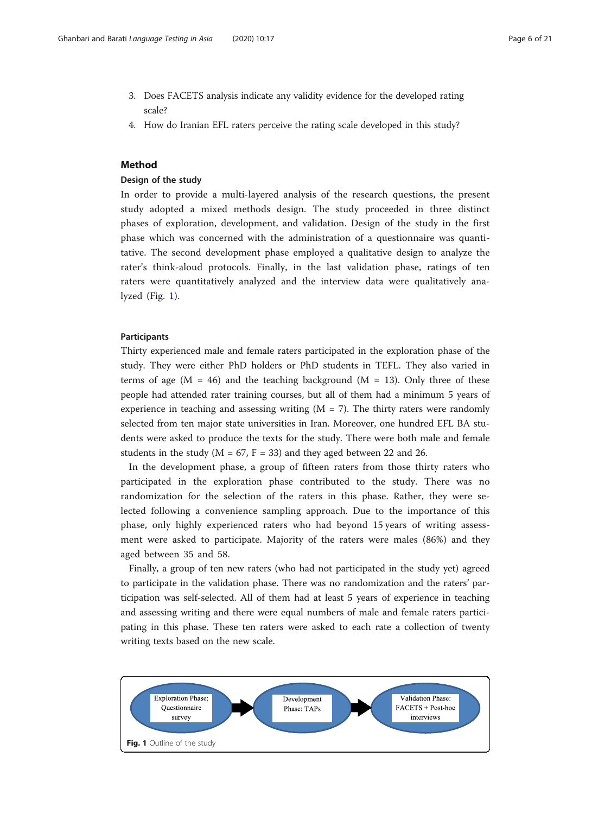- 3. Does FACETS analysis indicate any validity evidence for the developed rating scale?
- 4. How do Iranian EFL raters perceive the rating scale developed in this study?

#### Method

# Design of the study

In order to provide a multi-layered analysis of the research questions, the present study adopted a mixed methods design. The study proceeded in three distinct phases of exploration, development, and validation. Design of the study in the first phase which was concerned with the administration of a questionnaire was quantitative. The second development phase employed a qualitative design to analyze the rater's think-aloud protocols. Finally, in the last validation phase, ratings of ten raters were quantitatively analyzed and the interview data were qualitatively analyzed (Fig. 1).

# Participants

Thirty experienced male and female raters participated in the exploration phase of the study. They were either PhD holders or PhD students in TEFL. They also varied in terms of age ( $M = 46$ ) and the teaching background ( $M = 13$ ). Only three of these people had attended rater training courses, but all of them had a minimum 5 years of experience in teaching and assessing writing  $(M = 7)$ . The thirty raters were randomly selected from ten major state universities in Iran. Moreover, one hundred EFL BA students were asked to produce the texts for the study. There were both male and female students in the study ( $M = 67$ ,  $F = 33$ ) and they aged between 22 and 26.

In the development phase, a group of fifteen raters from those thirty raters who participated in the exploration phase contributed to the study. There was no randomization for the selection of the raters in this phase. Rather, they were selected following a convenience sampling approach. Due to the importance of this phase, only highly experienced raters who had beyond 15 years of writing assessment were asked to participate. Majority of the raters were males (86%) and they aged between 35 and 58.

Finally, a group of ten new raters (who had not participated in the study yet) agreed to participate in the validation phase. There was no randomization and the raters' participation was self-selected. All of them had at least 5 years of experience in teaching and assessing writing and there were equal numbers of male and female raters participating in this phase. These ten raters were asked to each rate a collection of twenty writing texts based on the new scale.

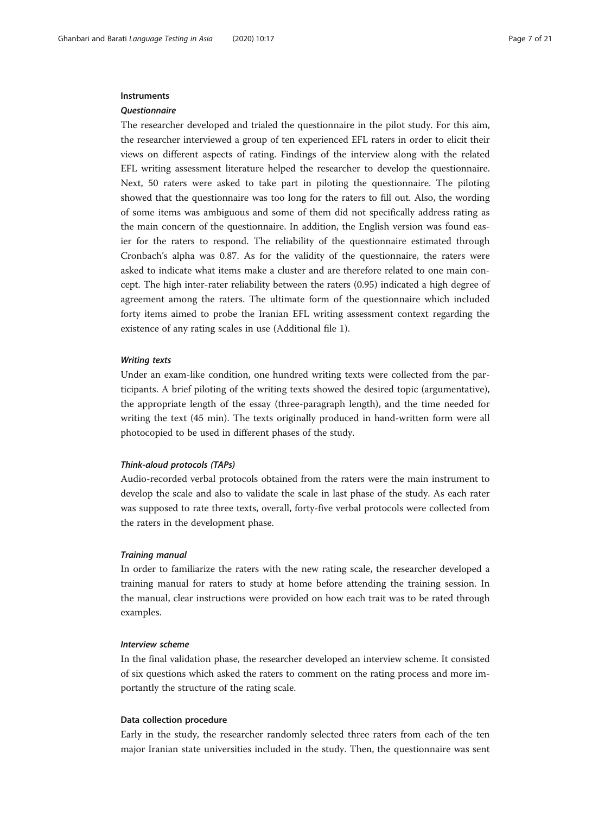#### **Instruments**

#### **Questionnaire**

The researcher developed and trialed the questionnaire in the pilot study. For this aim, the researcher interviewed a group of ten experienced EFL raters in order to elicit their views on different aspects of rating. Findings of the interview along with the related EFL writing assessment literature helped the researcher to develop the questionnaire. Next, 50 raters were asked to take part in piloting the questionnaire. The piloting showed that the questionnaire was too long for the raters to fill out. Also, the wording of some items was ambiguous and some of them did not specifically address rating as the main concern of the questionnaire. In addition, the English version was found easier for the raters to respond. The reliability of the questionnaire estimated through Cronbach's alpha was 0.87. As for the validity of the questionnaire, the raters were asked to indicate what items make a cluster and are therefore related to one main concept. The high inter-rater reliability between the raters (0.95) indicated a high degree of agreement among the raters. The ultimate form of the questionnaire which included forty items aimed to probe the Iranian EFL writing assessment context regarding the existence of any rating scales in use (Additional file 1).

#### Writing texts

Under an exam-like condition, one hundred writing texts were collected from the participants. A brief piloting of the writing texts showed the desired topic (argumentative), the appropriate length of the essay (three-paragraph length), and the time needed for writing the text (45 min). The texts originally produced in hand-written form were all photocopied to be used in different phases of the study.

#### Think-aloud protocols (TAPs)

Audio-recorded verbal protocols obtained from the raters were the main instrument to develop the scale and also to validate the scale in last phase of the study. As each rater was supposed to rate three texts, overall, forty-five verbal protocols were collected from the raters in the development phase.

#### Training manual

In order to familiarize the raters with the new rating scale, the researcher developed a training manual for raters to study at home before attending the training session. In the manual, clear instructions were provided on how each trait was to be rated through examples.

#### Interview scheme

In the final validation phase, the researcher developed an interview scheme. It consisted of six questions which asked the raters to comment on the rating process and more importantly the structure of the rating scale.

#### Data collection procedure

Early in the study, the researcher randomly selected three raters from each of the ten major Iranian state universities included in the study. Then, the questionnaire was sent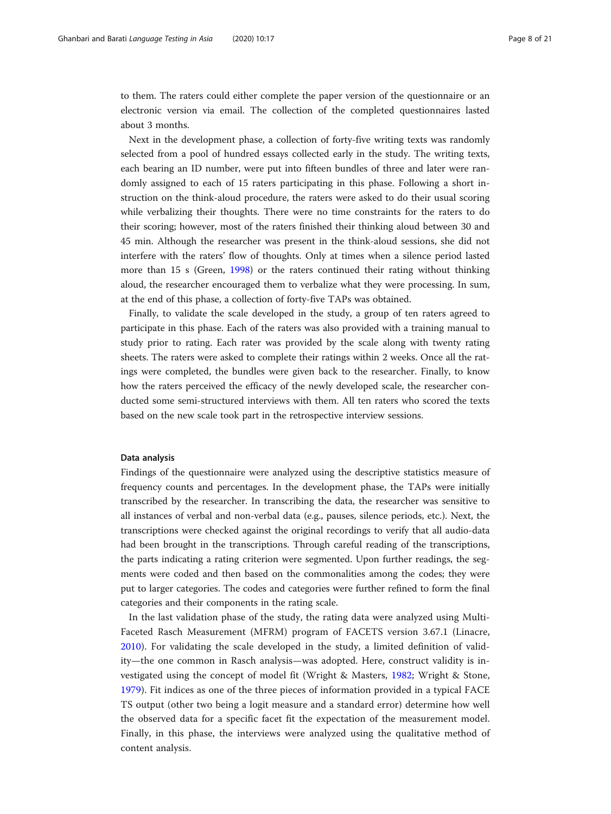to them. The raters could either complete the paper version of the questionnaire or an electronic version via email. The collection of the completed questionnaires lasted about 3 months.

Next in the development phase, a collection of forty-five writing texts was randomly selected from a pool of hundred essays collected early in the study. The writing texts, each bearing an ID number, were put into fifteen bundles of three and later were randomly assigned to each of 15 raters participating in this phase. Following a short instruction on the think-aloud procedure, the raters were asked to do their usual scoring while verbalizing their thoughts. There were no time constraints for the raters to do their scoring; however, most of the raters finished their thinking aloud between 30 and 45 min. Although the researcher was present in the think-aloud sessions, she did not interfere with the raters' flow of thoughts. Only at times when a silence period lasted more than 15 s (Green, [1998\)](#page-19-0) or the raters continued their rating without thinking aloud, the researcher encouraged them to verbalize what they were processing. In sum, at the end of this phase, a collection of forty-five TAPs was obtained.

Finally, to validate the scale developed in the study, a group of ten raters agreed to participate in this phase. Each of the raters was also provided with a training manual to study prior to rating. Each rater was provided by the scale along with twenty rating sheets. The raters were asked to complete their ratings within 2 weeks. Once all the ratings were completed, the bundles were given back to the researcher. Finally, to know how the raters perceived the efficacy of the newly developed scale, the researcher conducted some semi-structured interviews with them. All ten raters who scored the texts based on the new scale took part in the retrospective interview sessions.

#### Data analysis

Findings of the questionnaire were analyzed using the descriptive statistics measure of frequency counts and percentages. In the development phase, the TAPs were initially transcribed by the researcher. In transcribing the data, the researcher was sensitive to all instances of verbal and non-verbal data (e.g., pauses, silence periods, etc.). Next, the transcriptions were checked against the original recordings to verify that all audio-data had been brought in the transcriptions. Through careful reading of the transcriptions, the parts indicating a rating criterion were segmented. Upon further readings, the segments were coded and then based on the commonalities among the codes; they were put to larger categories. The codes and categories were further refined to form the final categories and their components in the rating scale.

In the last validation phase of the study, the rating data were analyzed using Multi-Faceted Rasch Measurement (MFRM) program of FACETS version 3.67.1 (Linacre, [2010\)](#page-19-0). For validating the scale developed in the study, a limited definition of validity—the one common in Rasch analysis—was adopted. Here, construct validity is investigated using the concept of model fit (Wright & Masters, [1982;](#page-20-0) Wright & Stone, [1979\)](#page-20-0). Fit indices as one of the three pieces of information provided in a typical FACE TS output (other two being a logit measure and a standard error) determine how well the observed data for a specific facet fit the expectation of the measurement model. Finally, in this phase, the interviews were analyzed using the qualitative method of content analysis.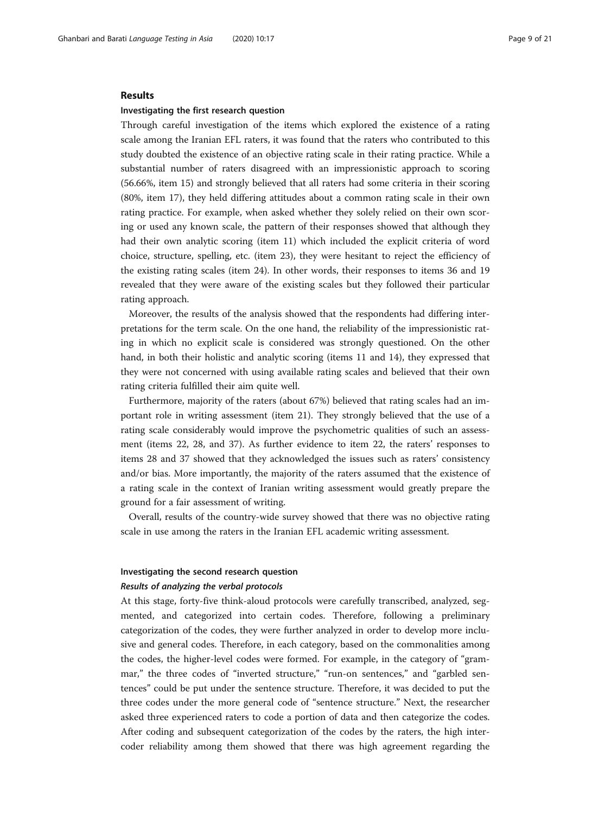#### Results

#### Investigating the first research question

Through careful investigation of the items which explored the existence of a rating scale among the Iranian EFL raters, it was found that the raters who contributed to this study doubted the existence of an objective rating scale in their rating practice. While a substantial number of raters disagreed with an impressionistic approach to scoring (56.66%, item 15) and strongly believed that all raters had some criteria in their scoring (80%, item 17), they held differing attitudes about a common rating scale in their own rating practice. For example, when asked whether they solely relied on their own scoring or used any known scale, the pattern of their responses showed that although they had their own analytic scoring (item 11) which included the explicit criteria of word choice, structure, spelling, etc. (item 23), they were hesitant to reject the efficiency of the existing rating scales (item 24). In other words, their responses to items 36 and 19 revealed that they were aware of the existing scales but they followed their particular rating approach.

Moreover, the results of the analysis showed that the respondents had differing interpretations for the term scale. On the one hand, the reliability of the impressionistic rating in which no explicit scale is considered was strongly questioned. On the other hand, in both their holistic and analytic scoring (items 11 and 14), they expressed that they were not concerned with using available rating scales and believed that their own rating criteria fulfilled their aim quite well.

Furthermore, majority of the raters (about 67%) believed that rating scales had an important role in writing assessment (item 21). They strongly believed that the use of a rating scale considerably would improve the psychometric qualities of such an assessment (items 22, 28, and 37). As further evidence to item 22, the raters' responses to items 28 and 37 showed that they acknowledged the issues such as raters' consistency and/or bias. More importantly, the majority of the raters assumed that the existence of a rating scale in the context of Iranian writing assessment would greatly prepare the ground for a fair assessment of writing.

Overall, results of the country-wide survey showed that there was no objective rating scale in use among the raters in the Iranian EFL academic writing assessment.

#### Investigating the second research question

#### Results of analyzing the verbal protocols

At this stage, forty-five think-aloud protocols were carefully transcribed, analyzed, segmented, and categorized into certain codes. Therefore, following a preliminary categorization of the codes, they were further analyzed in order to develop more inclusive and general codes. Therefore, in each category, based on the commonalities among the codes, the higher-level codes were formed. For example, in the category of "grammar," the three codes of "inverted structure," "run-on sentences," and "garbled sentences" could be put under the sentence structure. Therefore, it was decided to put the three codes under the more general code of "sentence structure." Next, the researcher asked three experienced raters to code a portion of data and then categorize the codes. After coding and subsequent categorization of the codes by the raters, the high intercoder reliability among them showed that there was high agreement regarding the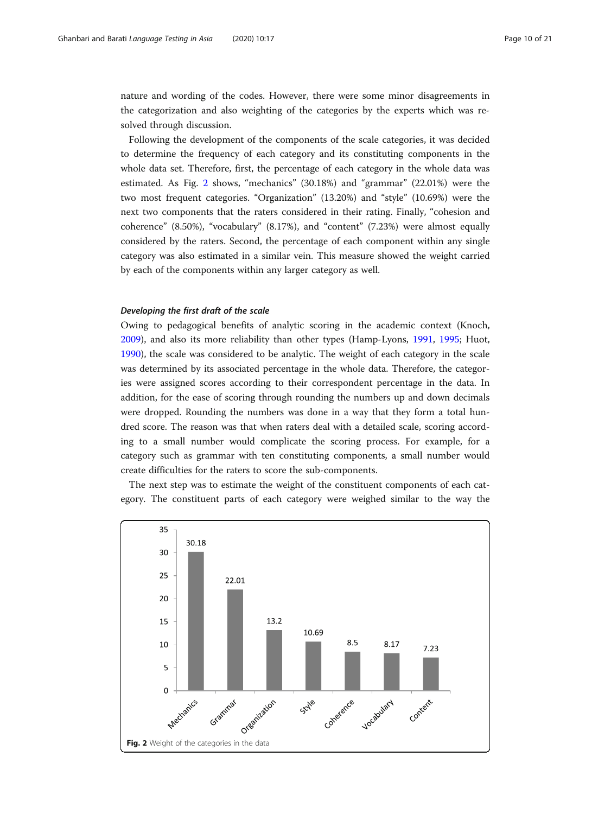nature and wording of the codes. However, there were some minor disagreements in the categorization and also weighting of the categories by the experts which was resolved through discussion.

Following the development of the components of the scale categories, it was decided to determine the frequency of each category and its constituting components in the whole data set. Therefore, first, the percentage of each category in the whole data was estimated. As Fig. 2 shows, "mechanics" (30.18%) and "grammar" (22.01%) were the two most frequent categories. "Organization" (13.20%) and "style" (10.69%) were the next two components that the raters considered in their rating. Finally, "cohesion and coherence" (8.50%), "vocabulary" (8.17%), and "content" (7.23%) were almost equally considered by the raters. Second, the percentage of each component within any single category was also estimated in a similar vein. This measure showed the weight carried by each of the components within any larger category as well.

#### Developing the first draft of the scale

Owing to pedagogical benefits of analytic scoring in the academic context (Knoch, [2009](#page-19-0)), and also its more reliability than other types (Hamp-Lyons, [1991](#page-19-0), [1995](#page-19-0); Huot, [1990](#page-19-0)), the scale was considered to be analytic. The weight of each category in the scale was determined by its associated percentage in the whole data. Therefore, the categories were assigned scores according to their correspondent percentage in the data. In addition, for the ease of scoring through rounding the numbers up and down decimals were dropped. Rounding the numbers was done in a way that they form a total hundred score. The reason was that when raters deal with a detailed scale, scoring according to a small number would complicate the scoring process. For example, for a category such as grammar with ten constituting components, a small number would create difficulties for the raters to score the sub-components.

The next step was to estimate the weight of the constituent components of each category. The constituent parts of each category were weighed similar to the way the

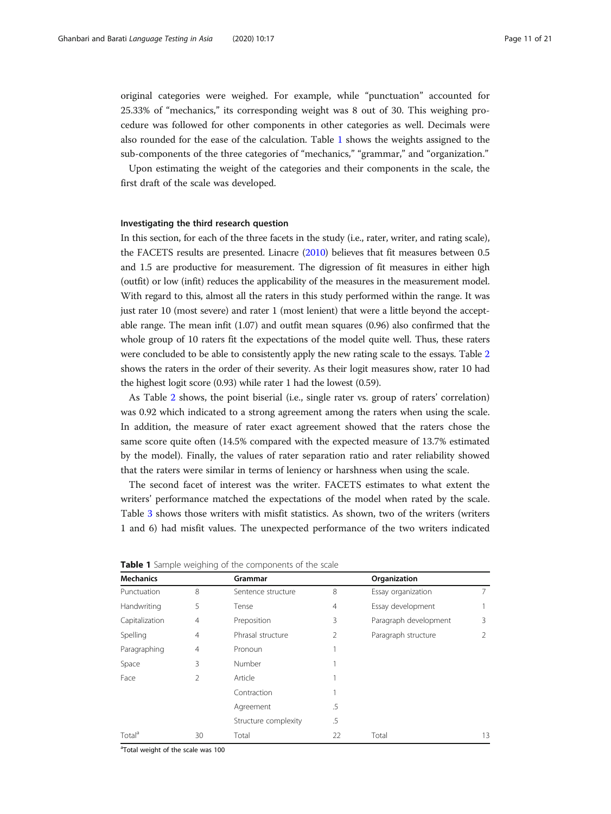original categories were weighed. For example, while "punctuation" accounted for 25.33% of "mechanics," its corresponding weight was 8 out of 30. This weighing procedure was followed for other components in other categories as well. Decimals were also rounded for the ease of the calculation. Table 1 shows the weights assigned to the sub-components of the three categories of "mechanics," "grammar," and "organization."

Upon estimating the weight of the categories and their components in the scale, the first draft of the scale was developed.

#### Investigating the third research question

In this section, for each of the three facets in the study (i.e., rater, writer, and rating scale), the FACETS results are presented. Linacre ([2010](#page-19-0)) believes that fit measures between 0.5 and 1.5 are productive for measurement. The digression of fit measures in either high (outfit) or low (infit) reduces the applicability of the measures in the measurement model. With regard to this, almost all the raters in this study performed within the range. It was just rater 10 (most severe) and rater 1 (most lenient) that were a little beyond the acceptable range. The mean infit (1.07) and outfit mean squares (0.96) also confirmed that the whole group of 10 raters fit the expectations of the model quite well. Thus, these raters were concluded to be able to consistently apply the new rating scale to the essays. Table [2](#page-11-0) shows the raters in the order of their severity. As their logit measures show, rater 10 had the highest logit score (0.93) while rater 1 had the lowest (0.59).

As Table [2](#page-11-0) shows, the point biserial (i.e., single rater vs. group of raters' correlation) was 0.92 which indicated to a strong agreement among the raters when using the scale. In addition, the measure of rater exact agreement showed that the raters chose the same score quite often (14.5% compared with the expected measure of 13.7% estimated by the model). Finally, the values of rater separation ratio and rater reliability showed that the raters were similar in terms of leniency or harshness when using the scale.

The second facet of interest was the writer. FACETS estimates to what extent the writers' performance matched the expectations of the model when rated by the scale. Table [3](#page-11-0) shows those writers with misfit statistics. As shown, two of the writers (writers 1 and 6) had misfit values. The unexpected performance of the two writers indicated

| <b>Mechanics</b>   |                | Grammar              |                | Organization          |    |
|--------------------|----------------|----------------------|----------------|-----------------------|----|
| Punctuation        | 8              | Sentence structure   | 8              | Essay organization    |    |
| Handwriting        | 5              | Tense                | $\overline{4}$ | Essay development     |    |
| Capitalization     | $\overline{4}$ | Preposition          | 3              | Paragraph development | 3  |
| Spelling           | $\overline{4}$ | Phrasal structure    | 2              | Paragraph structure   |    |
| Paragraphing       | $\overline{4}$ | Pronoun              |                |                       |    |
| Space              | 3              | Number               |                |                       |    |
| Face               | 2              | Article              |                |                       |    |
|                    |                | Contraction          |                |                       |    |
|                    |                | Agreement            | .5             |                       |    |
|                    |                | Structure complexity | .5             |                       |    |
| Total <sup>a</sup> | 30             | Total                | 22             | Total                 | 13 |

Table 1 Sample weighing of the components of the scale

<sup>a</sup>Total weight of the scale was 100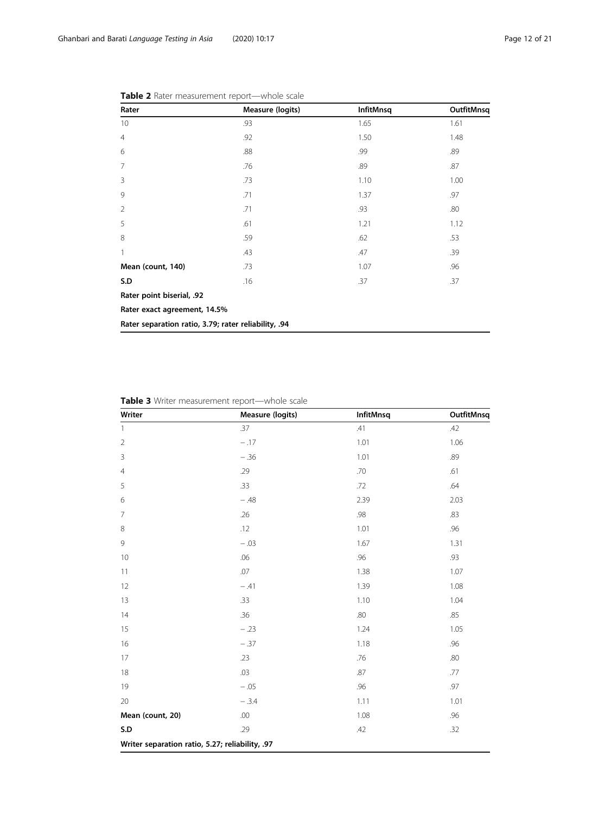| Rater                                                | <b>Measure (logits)</b> | <b>InfitMnsq</b> | OutfitMnsq |
|------------------------------------------------------|-------------------------|------------------|------------|
| 10                                                   | .93                     | 1.65             | 1.61       |
| $\overline{4}$                                       | .92                     | 1.50             | 1.48       |
| 6                                                    | .88                     | .99              | .89        |
| $\overline{7}$                                       | .76                     | .89              | .87        |
| 3                                                    | .73                     | 1.10             | 1.00       |
| 9                                                    | .71                     | 1.37             | .97        |
| $\overline{2}$                                       | .71                     | .93              | .80        |
| 5                                                    | .61                     | 1.21             | 1.12       |
| 8                                                    | .59                     | .62              | .53        |
| 1                                                    | .43                     | .47              | .39        |
| Mean (count, 140)                                    | .73                     | 1.07             | .96        |
| S.D                                                  | .16                     | .37              | .37        |
| Rater point biserial, .92                            |                         |                  |            |
| Rater exact agreement, 14.5%                         |                         |                  |            |
| Rater separation ratio, 3.79; rater reliability, .94 |                         |                  |            |

<span id="page-11-0"></span>

| Table 2 Rater measurement report-whole scale |
|----------------------------------------------|
|----------------------------------------------|

Table 3 Writer measurement report—whole scale

| Writer                                          | Measure (logits) | InfitMnsq | OutfitMnsq |
|-------------------------------------------------|------------------|-----------|------------|
| $\mathbf{1}$                                    | .37              | .41       | .42        |
| $\overline{2}$                                  | $-.17$           | 1.01      | 1.06       |
| 3                                               | $-.36$           | 1.01      | .89        |
| $\overline{4}$                                  | .29              | .70       | .61        |
| 5                                               | .33              | .72       | .64        |
| 6                                               | $-.48$           | 2.39      | 2.03       |
| $\overline{7}$                                  | .26              | .98       | .83        |
| 8                                               | .12              | 1.01      | .96        |
| 9                                               | $-.03$           | 1.67      | 1.31       |
| 10                                              | .06              | .96       | .93        |
| 11                                              | .07              | 1.38      | 1.07       |
| 12                                              | $-.41$           | 1.39      | 1.08       |
| 13                                              | .33              | 1.10      | 1.04       |
| 14                                              | .36              | .80       | .85        |
| 15                                              | $-.23$           | 1.24      | 1.05       |
| 16                                              | $-.37$           | 1.18      | .96        |
| 17                                              | .23              | .76       | .80        |
| 18                                              | .03              | .87       | .77        |
| 19                                              | $-.05$           | .96       | .97        |
| 20                                              | $-.3.4$          | 1.11      | 1.01       |
| Mean (count, 20)                                | .00              | 1.08      | .96        |
| S.D                                             | .29              | .42       | .32        |
| Writer separation ratio, 5.27; reliability, .97 |                  |           |            |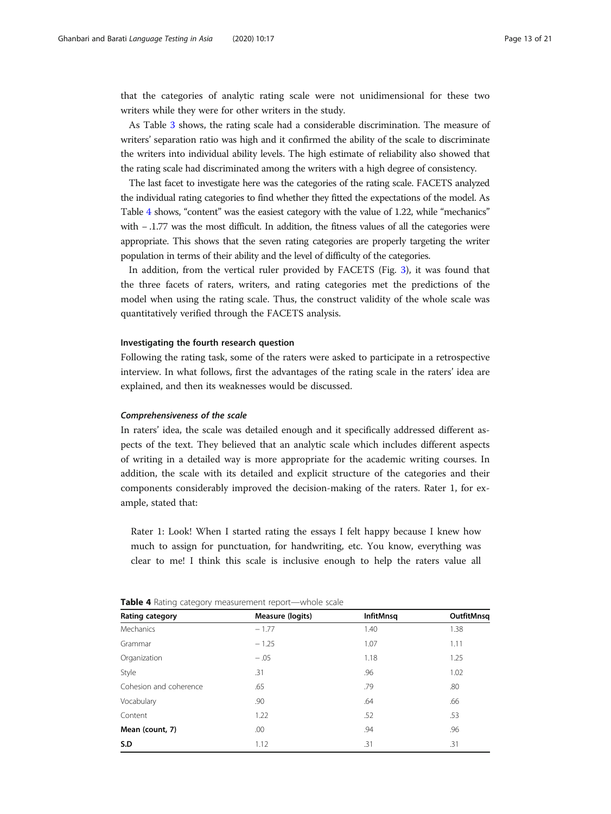that the categories of analytic rating scale were not unidimensional for these two writers while they were for other writers in the study.

As Table [3](#page-11-0) shows, the rating scale had a considerable discrimination. The measure of writers' separation ratio was high and it confirmed the ability of the scale to discriminate the writers into individual ability levels. The high estimate of reliability also showed that the rating scale had discriminated among the writers with a high degree of consistency.

The last facet to investigate here was the categories of the rating scale. FACETS analyzed the individual rating categories to find whether they fitted the expectations of the model. As Table 4 shows, "content" was the easiest category with the value of 1.22, while "mechanics" with − .1.77 was the most difficult. In addition, the fitness values of all the categories were appropriate. This shows that the seven rating categories are properly targeting the writer population in terms of their ability and the level of difficulty of the categories.

In addition, from the vertical ruler provided by FACETS (Fig. [3\)](#page-13-0), it was found that the three facets of raters, writers, and rating categories met the predictions of the model when using the rating scale. Thus, the construct validity of the whole scale was quantitatively verified through the FACETS analysis.

#### Investigating the fourth research question

Following the rating task, some of the raters were asked to participate in a retrospective interview. In what follows, first the advantages of the rating scale in the raters' idea are explained, and then its weaknesses would be discussed.

#### Comprehensiveness of the scale

In raters' idea, the scale was detailed enough and it specifically addressed different aspects of the text. They believed that an analytic scale which includes different aspects of writing in a detailed way is more appropriate for the academic writing courses. In addition, the scale with its detailed and explicit structure of the categories and their components considerably improved the decision-making of the raters. Rater 1, for example, stated that:

Rater 1: Look! When I started rating the essays I felt happy because I knew how much to assign for punctuation, for handwriting, etc. You know, everything was clear to me! I think this scale is inclusive enough to help the raters value all

| $\tilde{\phantom{a}}$<br><u>.</u> |                  |            |  |  |  |
|-----------------------------------|------------------|------------|--|--|--|
| Measure (logits)                  | <b>InfitMnsq</b> | OutfitMnsq |  |  |  |
| $-1.77$                           | 1.40             | 1.38       |  |  |  |
| $-1.25$                           | 1.07             | 1.11       |  |  |  |
| $-.05$                            | 1.18             | 1.25       |  |  |  |
| .31                               | .96              | 1.02       |  |  |  |
| .65                               | .79              | .80        |  |  |  |
| .90                               | .64              | .66        |  |  |  |
| 1.22                              | .52              | .53        |  |  |  |
| .00                               | .94              | .96        |  |  |  |
| 1.12                              | .31              | .31        |  |  |  |
|                                   |                  |            |  |  |  |

Table 4 Rating category measurement report—whole scale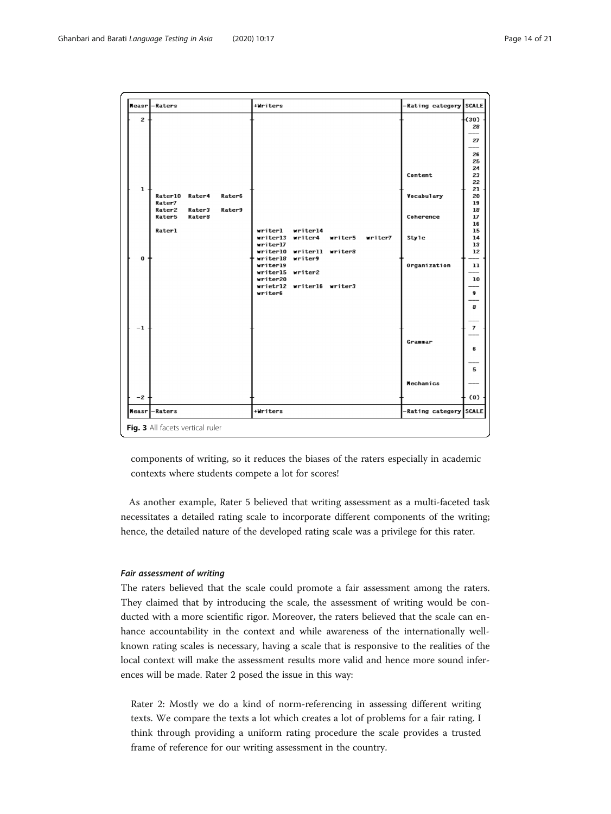<span id="page-13-0"></span>

components of writing, so it reduces the biases of the raters especially in academic contexts where students compete a lot for scores!

As another example, Rater 5 believed that writing assessment as a multi-faceted task necessitates a detailed rating scale to incorporate different components of the writing; hence, the detailed nature of the developed rating scale was a privilege for this rater.

#### Fair assessment of writing

The raters believed that the scale could promote a fair assessment among the raters. They claimed that by introducing the scale, the assessment of writing would be conducted with a more scientific rigor. Moreover, the raters believed that the scale can enhance accountability in the context and while awareness of the internationally wellknown rating scales is necessary, having a scale that is responsive to the realities of the local context will make the assessment results more valid and hence more sound inferences will be made. Rater 2 posed the issue in this way:

Rater 2: Mostly we do a kind of norm-referencing in assessing different writing texts. We compare the texts a lot which creates a lot of problems for a fair rating. I think through providing a uniform rating procedure the scale provides a trusted frame of reference for our writing assessment in the country.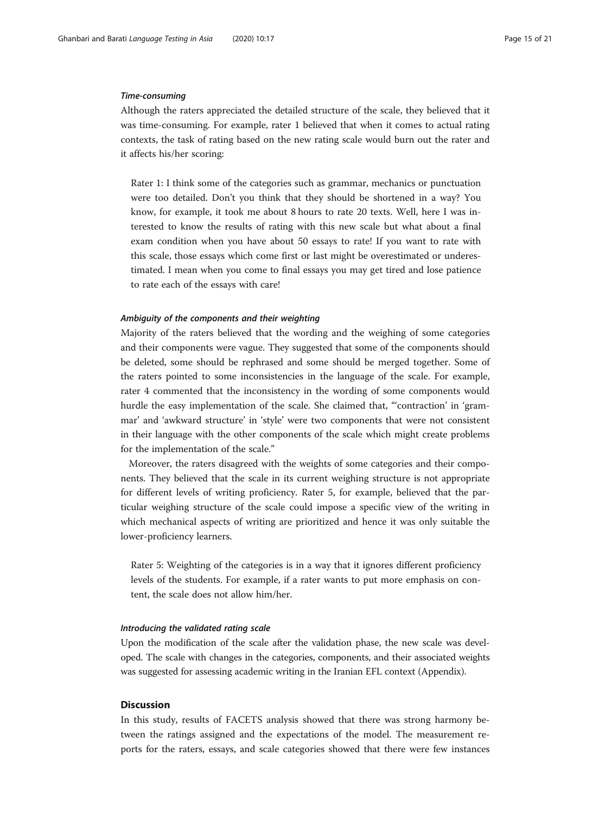#### Time-consuming

Although the raters appreciated the detailed structure of the scale, they believed that it was time-consuming. For example, rater 1 believed that when it comes to actual rating contexts, the task of rating based on the new rating scale would burn out the rater and it affects his/her scoring:

Rater 1: I think some of the categories such as grammar, mechanics or punctuation were too detailed. Don't you think that they should be shortened in a way? You know, for example, it took me about 8 hours to rate 20 texts. Well, here I was interested to know the results of rating with this new scale but what about a final exam condition when you have about 50 essays to rate! If you want to rate with this scale, those essays which come first or last might be overestimated or underestimated. I mean when you come to final essays you may get tired and lose patience to rate each of the essays with care!

#### Ambiguity of the components and their weighting

Majority of the raters believed that the wording and the weighing of some categories and their components were vague. They suggested that some of the components should be deleted, some should be rephrased and some should be merged together. Some of the raters pointed to some inconsistencies in the language of the scale. For example, rater 4 commented that the inconsistency in the wording of some components would hurdle the easy implementation of the scale. She claimed that, "'contraction' in 'grammar' and 'awkward structure' in 'style' were two components that were not consistent in their language with the other components of the scale which might create problems for the implementation of the scale."

Moreover, the raters disagreed with the weights of some categories and their components. They believed that the scale in its current weighing structure is not appropriate for different levels of writing proficiency. Rater 5, for example, believed that the particular weighing structure of the scale could impose a specific view of the writing in which mechanical aspects of writing are prioritized and hence it was only suitable the lower-proficiency learners.

Rater 5: Weighting of the categories is in a way that it ignores different proficiency levels of the students. For example, if a rater wants to put more emphasis on content, the scale does not allow him/her.

#### Introducing the validated rating scale

Upon the modification of the scale after the validation phase, the new scale was developed. The scale with changes in the categories, components, and their associated weights was suggested for assessing academic writing in the Iranian EFL context (Appendix).

### **Discussion**

In this study, results of FACETS analysis showed that there was strong harmony between the ratings assigned and the expectations of the model. The measurement reports for the raters, essays, and scale categories showed that there were few instances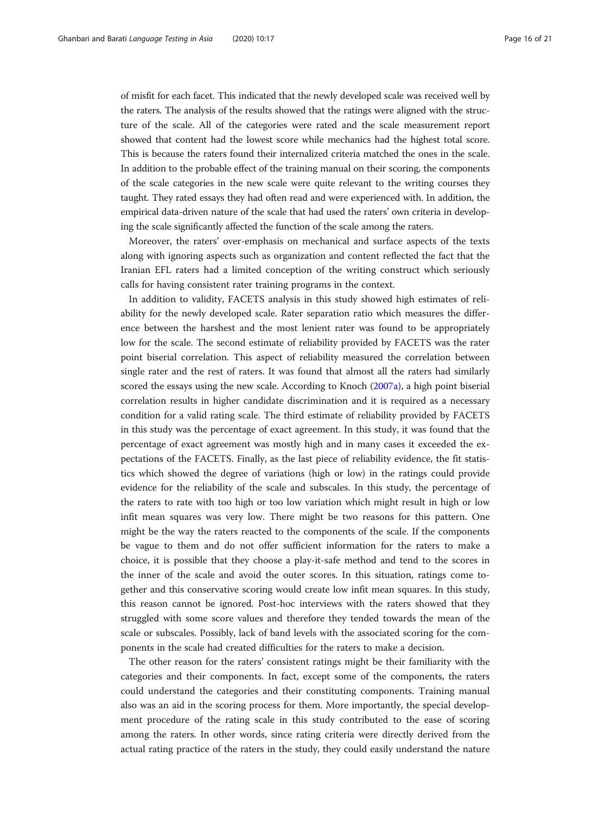of misfit for each facet. This indicated that the newly developed scale was received well by the raters. The analysis of the results showed that the ratings were aligned with the structure of the scale. All of the categories were rated and the scale measurement report showed that content had the lowest score while mechanics had the highest total score. This is because the raters found their internalized criteria matched the ones in the scale. In addition to the probable effect of the training manual on their scoring, the components of the scale categories in the new scale were quite relevant to the writing courses they taught. They rated essays they had often read and were experienced with. In addition, the empirical data-driven nature of the scale that had used the raters' own criteria in developing the scale significantly affected the function of the scale among the raters.

Moreover, the raters' over-emphasis on mechanical and surface aspects of the texts along with ignoring aspects such as organization and content reflected the fact that the Iranian EFL raters had a limited conception of the writing construct which seriously calls for having consistent rater training programs in the context.

In addition to validity, FACETS analysis in this study showed high estimates of reliability for the newly developed scale. Rater separation ratio which measures the difference between the harshest and the most lenient rater was found to be appropriately low for the scale. The second estimate of reliability provided by FACETS was the rater point biserial correlation. This aspect of reliability measured the correlation between single rater and the rest of raters. It was found that almost all the raters had similarly scored the essays using the new scale. According to Knoch [\(2007a](#page-19-0)), a high point biserial correlation results in higher candidate discrimination and it is required as a necessary condition for a valid rating scale. The third estimate of reliability provided by FACETS in this study was the percentage of exact agreement. In this study, it was found that the percentage of exact agreement was mostly high and in many cases it exceeded the expectations of the FACETS. Finally, as the last piece of reliability evidence, the fit statistics which showed the degree of variations (high or low) in the ratings could provide evidence for the reliability of the scale and subscales. In this study, the percentage of the raters to rate with too high or too low variation which might result in high or low infit mean squares was very low. There might be two reasons for this pattern. One might be the way the raters reacted to the components of the scale. If the components be vague to them and do not offer sufficient information for the raters to make a choice, it is possible that they choose a play-it-safe method and tend to the scores in the inner of the scale and avoid the outer scores. In this situation, ratings come together and this conservative scoring would create low infit mean squares. In this study, this reason cannot be ignored. Post-hoc interviews with the raters showed that they struggled with some score values and therefore they tended towards the mean of the scale or subscales. Possibly, lack of band levels with the associated scoring for the components in the scale had created difficulties for the raters to make a decision.

The other reason for the raters' consistent ratings might be their familiarity with the categories and their components. In fact, except some of the components, the raters could understand the categories and their constituting components. Training manual also was an aid in the scoring process for them. More importantly, the special development procedure of the rating scale in this study contributed to the ease of scoring among the raters. In other words, since rating criteria were directly derived from the actual rating practice of the raters in the study, they could easily understand the nature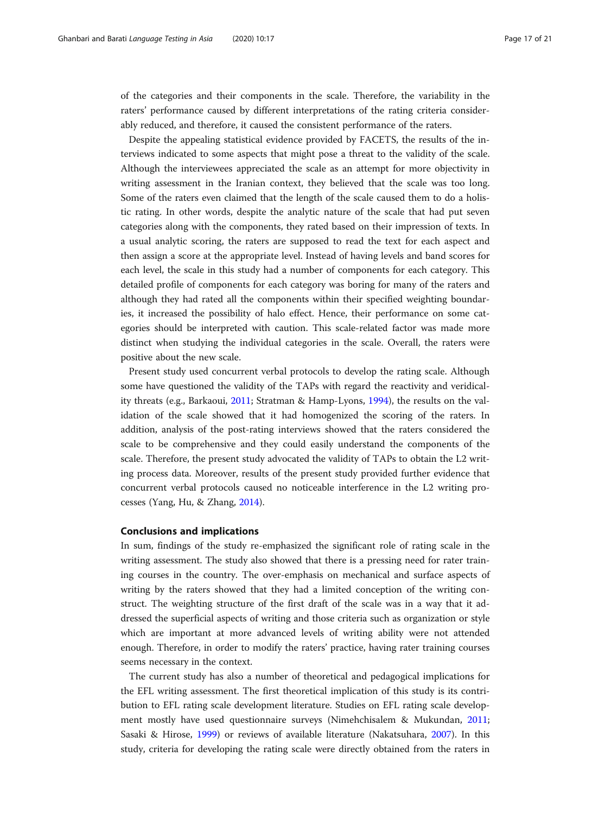of the categories and their components in the scale. Therefore, the variability in the raters' performance caused by different interpretations of the rating criteria considerably reduced, and therefore, it caused the consistent performance of the raters.

Despite the appealing statistical evidence provided by FACETS, the results of the interviews indicated to some aspects that might pose a threat to the validity of the scale. Although the interviewees appreciated the scale as an attempt for more objectivity in writing assessment in the Iranian context, they believed that the scale was too long. Some of the raters even claimed that the length of the scale caused them to do a holistic rating. In other words, despite the analytic nature of the scale that had put seven categories along with the components, they rated based on their impression of texts. In a usual analytic scoring, the raters are supposed to read the text for each aspect and then assign a score at the appropriate level. Instead of having levels and band scores for each level, the scale in this study had a number of components for each category. This detailed profile of components for each category was boring for many of the raters and although they had rated all the components within their specified weighting boundaries, it increased the possibility of halo effect. Hence, their performance on some categories should be interpreted with caution. This scale-related factor was made more distinct when studying the individual categories in the scale. Overall, the raters were positive about the new scale.

Present study used concurrent verbal protocols to develop the rating scale. Although some have questioned the validity of the TAPs with regard the reactivity and veridicality threats (e.g., Barkaoui, [2011;](#page-18-0) Stratman & Hamp-Lyons, [1994\)](#page-20-0), the results on the validation of the scale showed that it had homogenized the scoring of the raters. In addition, analysis of the post-rating interviews showed that the raters considered the scale to be comprehensive and they could easily understand the components of the scale. Therefore, the present study advocated the validity of TAPs to obtain the L2 writing process data. Moreover, results of the present study provided further evidence that concurrent verbal protocols caused no noticeable interference in the L2 writing processes (Yang, Hu, & Zhang, [2014\)](#page-20-0).

#### Conclusions and implications

In sum, findings of the study re-emphasized the significant role of rating scale in the writing assessment. The study also showed that there is a pressing need for rater training courses in the country. The over-emphasis on mechanical and surface aspects of writing by the raters showed that they had a limited conception of the writing construct. The weighting structure of the first draft of the scale was in a way that it addressed the superficial aspects of writing and those criteria such as organization or style which are important at more advanced levels of writing ability were not attended enough. Therefore, in order to modify the raters' practice, having rater training courses seems necessary in the context.

The current study has also a number of theoretical and pedagogical implications for the EFL writing assessment. The first theoretical implication of this study is its contribution to EFL rating scale development literature. Studies on EFL rating scale development mostly have used questionnaire surveys (Nimehchisalem & Mukundan, [2011](#page-19-0); Sasaki & Hirose, [1999\)](#page-20-0) or reviews of available literature (Nakatsuhara, [2007](#page-19-0)). In this study, criteria for developing the rating scale were directly obtained from the raters in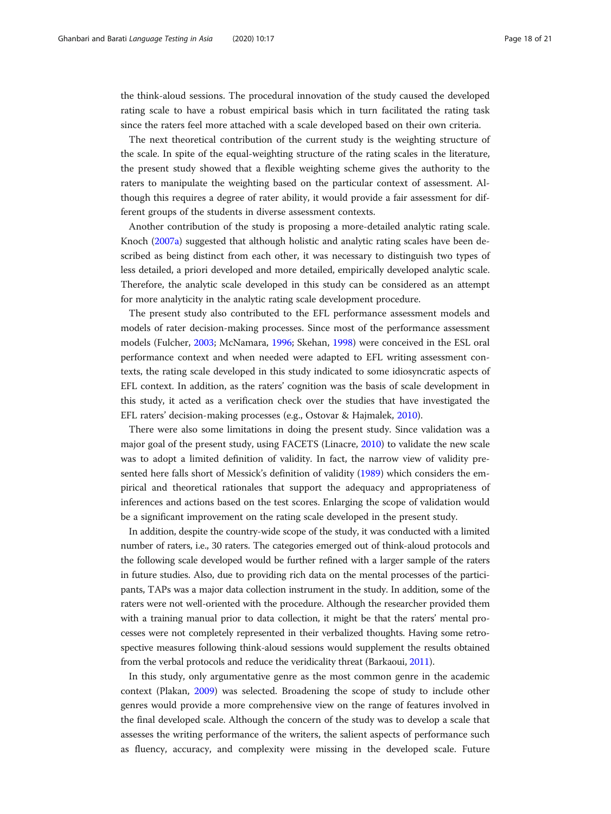the think-aloud sessions. The procedural innovation of the study caused the developed rating scale to have a robust empirical basis which in turn facilitated the rating task since the raters feel more attached with a scale developed based on their own criteria.

The next theoretical contribution of the current study is the weighting structure of the scale. In spite of the equal-weighting structure of the rating scales in the literature, the present study showed that a flexible weighting scheme gives the authority to the raters to manipulate the weighting based on the particular context of assessment. Although this requires a degree of rater ability, it would provide a fair assessment for different groups of the students in diverse assessment contexts.

Another contribution of the study is proposing a more-detailed analytic rating scale. Knoch ([2007a\)](#page-19-0) suggested that although holistic and analytic rating scales have been described as being distinct from each other, it was necessary to distinguish two types of less detailed, a priori developed and more detailed, empirically developed analytic scale. Therefore, the analytic scale developed in this study can be considered as an attempt for more analyticity in the analytic rating scale development procedure.

The present study also contributed to the EFL performance assessment models and models of rater decision-making processes. Since most of the performance assessment models (Fulcher, [2003;](#page-19-0) McNamara, [1996;](#page-19-0) Skehan, [1998](#page-20-0)) were conceived in the ESL oral performance context and when needed were adapted to EFL writing assessment contexts, the rating scale developed in this study indicated to some idiosyncratic aspects of EFL context. In addition, as the raters' cognition was the basis of scale development in this study, it acted as a verification check over the studies that have investigated the EFL raters' decision-making processes (e.g., Ostovar & Hajmalek, [2010\)](#page-19-0).

There were also some limitations in doing the present study. Since validation was a major goal of the present study, using FACETS (Linacre, [2010\)](#page-19-0) to validate the new scale was to adopt a limited definition of validity. In fact, the narrow view of validity presented here falls short of Messick's definition of validity [\(1989](#page-19-0)) which considers the empirical and theoretical rationales that support the adequacy and appropriateness of inferences and actions based on the test scores. Enlarging the scope of validation would be a significant improvement on the rating scale developed in the present study.

In addition, despite the country-wide scope of the study, it was conducted with a limited number of raters, i.e., 30 raters. The categories emerged out of think-aloud protocols and the following scale developed would be further refined with a larger sample of the raters in future studies. Also, due to providing rich data on the mental processes of the participants, TAPs was a major data collection instrument in the study. In addition, some of the raters were not well-oriented with the procedure. Although the researcher provided them with a training manual prior to data collection, it might be that the raters' mental processes were not completely represented in their verbalized thoughts. Having some retrospective measures following think-aloud sessions would supplement the results obtained from the verbal protocols and reduce the veridicality threat (Barkaoui, [2011\)](#page-18-0).

In this study, only argumentative genre as the most common genre in the academic context (Plakan, [2009](#page-20-0)) was selected. Broadening the scope of study to include other genres would provide a more comprehensive view on the range of features involved in the final developed scale. Although the concern of the study was to develop a scale that assesses the writing performance of the writers, the salient aspects of performance such as fluency, accuracy, and complexity were missing in the developed scale. Future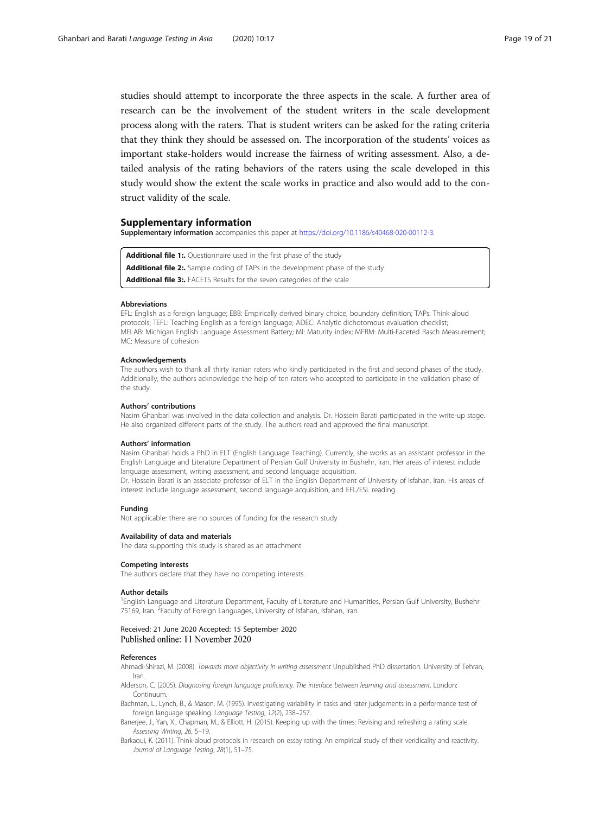<span id="page-18-0"></span>studies should attempt to incorporate the three aspects in the scale. A further area of research can be the involvement of the student writers in the scale development process along with the raters. That is student writers can be asked for the rating criteria that they think they should be assessed on. The incorporation of the students' voices as important stake-holders would increase the fairness of writing assessment. Also, a detailed analysis of the rating behaviors of the raters using the scale developed in this study would show the extent the scale works in practice and also would add to the construct validity of the scale.

#### Supplementary information

Supplementary information accompanies this paper at <https://doi.org/10.1186/s40468-020-00112-3>.

Additional file 1: Questionnaire used in the first phase of the study

Additional file 2:. Sample coding of TAPs in the development phase of the study

Additional file 3:. FACETS Results for the seven categories of the scale

#### **Abbreviations**

EFL: English as a foreign language; EBB: Empirically derived binary choice, boundary definition; TAPs: Think-aloud protocols; TEFL: Teaching English as a foreign language; ADEC: Analytic dichotomous evaluation checklist; MELAB: Michigan English Language Assessment Battery; MI: Maturity index; MFRM: Multi-Faceted Rasch Measurement; MC: Measure of cohesion

#### Acknowledgements

The authors wish to thank all thirty Iranian raters who kindly participated in the first and second phases of the study. Additionally, the authors acknowledge the help of ten raters who accepted to participate in the validation phase of the study.

#### Authors' contributions

Nasim Ghanbari was involved in the data collection and analysis. Dr. Hossein Barati participated in the write-up stage. He also organized different parts of the study. The authors read and approved the final manuscript.

#### Authors' information

Nasim Ghanbari holds a PhD in ELT (English Language Teaching). Currently, she works as an assistant professor in the English Language and Literature Department of Persian Gulf University in Bushehr, Iran. Her areas of interest include language assessment, writing assessment, and second language acquisition.

Dr. Hossein Barati is an associate professor of ELT in the English Department of University of Isfahan, Iran. His areas of interest include language assessment, second language acquisition, and EFL/ESL reading.

#### Funding

Not applicable: there are no sources of funding for the research study

#### Availability of data and materials

The data supporting this study is shared as an attachment.

#### Competing interests

The authors declare that they have no competing interests.

#### Author details

<sup>1</sup>English Language and Literature Department, Faculty of Literature and Humanities, Persian Gulf University, Bushehr 75169, Iran. <sup>2</sup> Faculty of Foreign Languages, University of Isfahan, Isfahan, Iran.

#### Received: 21 June 2020 Accepted: 15 September 2020 Published online: 11 November 2020

#### References

Ahmadi-Shirazi, M. (2008). Towards more objectivity in writing assessment Unpublished PhD dissertation. University of Tehran, Iran.

Alderson, C. (2005). Diagnosing foreign language proficiency. The interface between learning and assessment. London: Continuum.

Bachman, L., Lynch, B., & Mason, M. (1995). Investigating variability in tasks and rater judgements in a performance test of foreign language speaking. Language Testing, 12(2), 238–257.

Banerjee, J., Yan, X., Chapman, M., & Elliott, H. (2015). Keeping up with the times: Revising and refreshing a rating scale. Assessing Writing, 26, 5–19.

Barkaoui, K. (2011). Think-aloud protocols in research on essay rating: An empirical study of their veridicality and reactivity. Journal of Language Testing, 28(1), 51–75.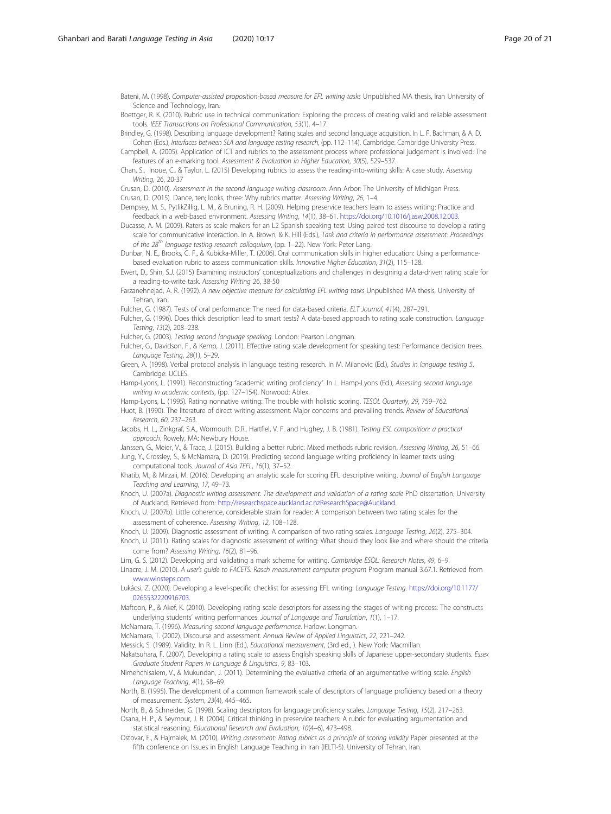<span id="page-19-0"></span>Bateni, M. (1998). Computer-assisted proposition-based measure for EFL writing tasks Unpublished MA thesis, Iran University of Science and Technology, Iran.

Boettger, R. K. (2010). Rubric use in technical communication: Exploring the process of creating valid and reliable assessment tools. IEEE Transactions on Professional Communication, 53(1), 4–17.

Brindley, G. (1998). Describing language development? Rating scales and second language acquisition. In L. F. Bachman, & A. D. Cohen (Eds.), Interfaces between SLA and language testing research, (pp. 112–114). Cambridge: Cambridge University Press.

Campbell, A. (2005). Application of ICT and rubrics to the assessment process where professional judgement is involved: The features of an e-marking tool. Assessment & Evaluation in Higher Education, 30(5), 529–537.

Chan, S., Inoue, C., & Taylor, L. (2015) Developing rubrics to assess the reading-into-writing skills: A case study. Assessing Writing, 26, 20-37

Crusan, D. (2010). Assessment in the second language writing classroom. Ann Arbor: The University of Michigan Press. Crusan, D. (2015). Dance, ten; looks, three: Why rubrics matter. Assessing Writing, 26, 1–4.

Dempsey, M. S., PytlikZillig, L. M., & Bruning, R. H. (2009). Helping preservice teachers learn to assess writing: Practice and feedback in a web-based environment. Assessing Writing, 14(1), 38–61. [https://doi.org/10.1016/j.asw.2008.12.003.](https://doi.org/10.1016/j.asw.2008.12.003)

Ducasse, A. M. (2009). Raters as scale makers for an L2 Spanish speaking test: Using paired test discourse to develop a rating scale for communicative interaction. In A. Brown, & K. Hill (Eds.), Task and criteria in performance assessment: Proceedings of the  $28^{th}$  language testing research colloquium, (pp. 1–22). New York: Peter Lang.

Dunbar, N. E., Brooks, C. F., & Kubicka-Miller, T. (2006). Oral communication skills in higher education: Using a performancebased evaluation rubric to assess communication skills. Innovative Higher Education, 31(2), 115–128.

Ewert, D., Shin, S.J. (2015) Examining instructors' conceptualizations and challenges in designing a data-driven rating scale for a reading-to-write task. Assessing Writing 26, 38-50

Farzanehnejad, A. R. (1992). A new objective measure for calculating EFL writing tasks Unpublished MA thesis, University of Tehran, Iran.

Fulcher, G. (1987). Tests of oral performance: The need for data-based criteria. ELT Journal, 41(4), 287–291.

Fulcher, G. (1996). Does thick description lead to smart tests? A data-based approach to rating scale construction. Language Testing, 13(2), 208–238.

Fulcher, G. (2003). Testing second language speaking. London: Pearson Longman. Fulcher, G., Davidson, F., & Kemp, J. (2011). Effective rating scale development for speaking test: Performance decision trees.

Language Testing, 28(1), 5–29. Green, A. (1998). Verbal protocol analysis in language testing research. In M. Milanovic (Ed.), Studies in language testing 5. Cambridge: UCLES.

Hamp-Lyons, L. (1991). Reconstructing "academic writing proficiency". In L. Hamp-Lyons (Ed.), Assessing second language writing in academic contexts, (pp. 127–154). Norwood: Ablex.

Hamp-Lyons, L. (1995). Rating nonnative writing: The trouble with holistic scoring. TESOL Quarterly, 29, 759–762.

Huot, B. (1990). The literature of direct writing assessment: Major concerns and prevailing trends. Review of Educational Research, 60, 237–263.

Jacobs, H. L., Zinkgraf, S.A., Wormouth, D.R., Hartfiel, V. F. and Hughey, J. B. (1981). Testing ESL composition: a practical approach. Rowely, MA: Newbury House.

Janssen, G., Meier, V., & Trace, J. (2015). Building a better rubric: Mixed methods rubric revision. Assessing Writing, 26, 51–66. Jung, Y., Crossley, S., & McNamara, D. (2019). Predicting second language writing proficiency in learner texts using computational tools. Journal of Asia TEFL, 16(1), 37–52.

Khatib, M., & Mirzaii, M. (2016). Developing an analytic scale for scoring EFL descriptive writing. Journal of English Language Teaching and Learning, 17, 49–73.

Knoch, U. (2007a). Diagnostic writing assessment: The development and validation of a rating scale PhD dissertation, University of Auckland. Retrieved from: [http://researchspace.auckland.ac.nzResearchSpace@Auckland](http://www.google.com/url?sa=t&rct=j&q=&esrc=s&source=web&cd=1&ved=0CE8QFjAA&url=http%3A%2F%2Fciteseerx.ist.psu.edu%2Fviewdoc%2Fdownload%3Fdoi%3D10.1.1.130.238%26rep%3Drep1%26type%3Dpdf&ei=FHTXT5ygKsKj4gSHvenIAw&usg=AFQjCNEX5DwDKAcQl3gpK18Sn8sKMQhGyQ&sig2=o7nJogJvO5uA31x9kAawBw).

Knoch, U. (2007b). Little coherence, considerable strain for reader: A comparison between two rating scales for the assessment of coherence. Assessing Writing, 12, 108–128.

Knoch, U. (2009). Diagnostic assessment of writing: A comparison of two rating scales. Language Testing, 26(2), 275-304.

Knoch, U. (2011). Rating scales for diagnostic assessment of writing: What should they look like and where should the criteria come from? Assessing Writing, 16(2), 81–96.

Lim, G. S. (2012). Developing and validating a mark scheme for writing. Cambridge ESOL: Research Notes, 49, 6-9.

Linacre, J. M. (2010). A user's guide to FACETS: Rasch measurement computer program Program manual 3.67.1. Retrieved from [www.winsteps.com](http://www.winsteps.com).

Lukácsi, Z. (2020). Developing a level-specific checklist for assessing EFL writing. Language Testing. [https://doi.org/10.1177/](https://doi.org/10.1177/0265532220916703) [0265532220916703](https://doi.org/10.1177/0265532220916703).

Maftoon, P., & Akef, K. (2010). Developing rating scale descriptors for assessing the stages of writing process: The constructs underlying students' writing performances. Journal of Language and Translation, 1(1), 1-17.

McNamara, T. (1996). Measuring second language performance. Harlow: Longman.

McNamara, T. (2002). Discourse and assessment. Annual Review of Applied Linguistics, 22, 221–242.

Messick, S. (1989). Validity. In R. L. Linn (Ed.), Educational measurement, (3rd ed., ). New York: Macmillan.

Nakatsuhara, F. (2007). Developing a rating scale to assess English speaking skills of Japanese upper-secondary students. Essex Graduate Student Papers in Language & Linguistics, 9, 83–103.

Nimehchisalem, V., & Mukundan, J. (2011). Determining the evaluative criteria of an argumentative writing scale. English Language Teaching, 4(1), 58–69.

North, B. (1995). The development of a common framework scale of descriptors of language proficiency based on a theory of measurement. System, 23(4), 445–465.

North, B., & Schneider, G. (1998). Scaling descriptors for language proficiency scales. Language Testing, 15(2), 217–263. Osana, H. P., & Seymour, J. R. (2004). Critical thinking in preservice teachers: A rubric for evaluating argumentation and statistical reasoning. Educational Research and Evaluation, 10(4–6), 473–498.

Ostovar, F., & Hajmalek, M. (2010). Writing assessment: Rating rubrics as a principle of scoring validity Paper presented at the fifth conference on Issues in English Language Teaching in Iran (IELTI-5). University of Tehran, Iran.